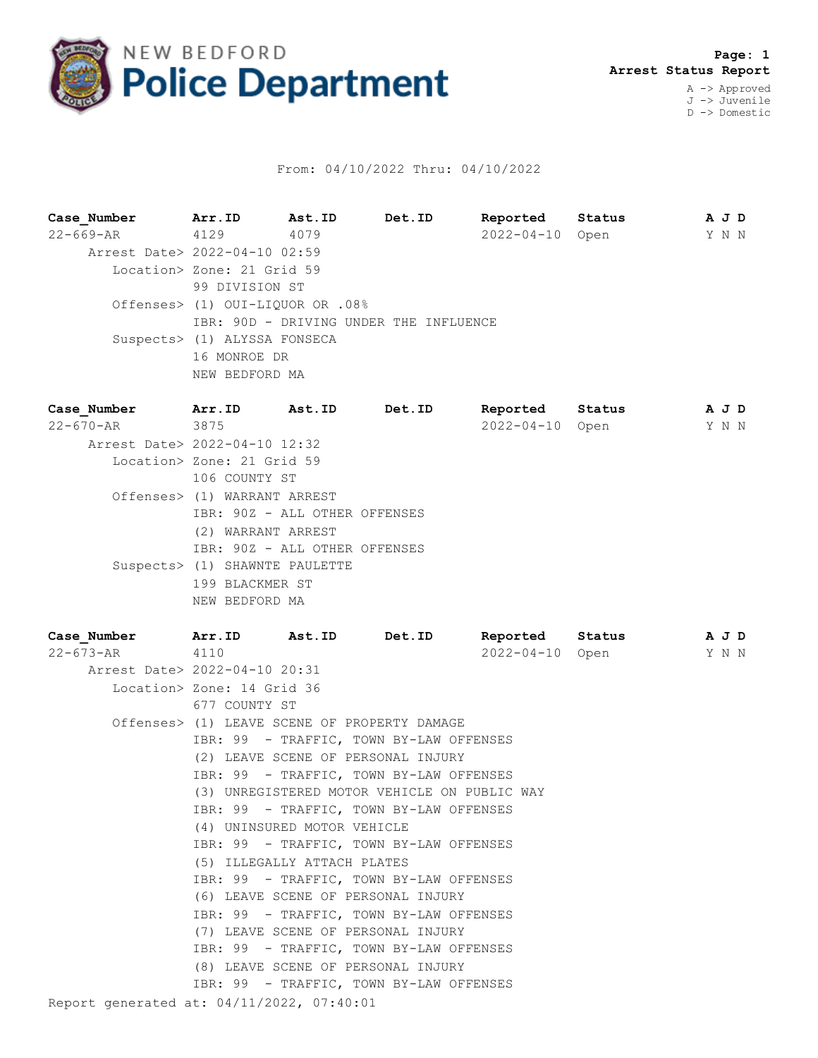

## From: 04/10/2022 Thru: 04/10/2022

**Case\_Number Arr.ID Ast.ID Det.ID Reported Status A J D** 22-669-AR 4129 4079 2022-04-10 Open Y N N Arrest Date> 2022-04-10 02:59 Location> Zone: 21 Grid 59 99 DIVISION ST Offenses> (1) OUI-LIQUOR OR .08% IBR: 90D - DRIVING UNDER THE INFLUENCE Suspects> (1) ALYSSA FONSECA 16 MONROE DR NEW BEDFORD MA **Case\_Number Arr.ID Ast.ID Det.ID Reported Status A J D**

| 22-670-AR | 3875                           | $2022 - 04 - 10$ Open | Y N N |  |
|-----------|--------------------------------|-----------------------|-------|--|
|           | Arrest Date> 2022-04-10 12:32  |                       |       |  |
|           | Location> Zone: 21 Grid 59     |                       |       |  |
|           | 106 COUNTY ST                  |                       |       |  |
|           | Offenses> (1) WARRANT ARREST   |                       |       |  |
|           | IBR: 90Z - ALL OTHER OFFENSES  |                       |       |  |
|           | (2) WARRANT ARREST             |                       |       |  |
|           | IBR: 90Z - ALL OTHER OFFENSES  |                       |       |  |
|           | Suspects> (1) SHAWNTE PAULETTE |                       |       |  |
|           | 199 BLACKMER ST                |                       |       |  |
|           | NEW BEDFORD MA                 |                       |       |  |
|           |                                |                       |       |  |

Report generated at: 04/11/2022, 07:40:01 **Case\_Number Arr.ID Ast.ID Det.ID Reported Status A J D** 22-673-AR 4110 2022-04-10 Open Y N N Arrest Date> 2022-04-10 20:31 Location> Zone: 14 Grid 36 677 COUNTY ST Offenses> (1) LEAVE SCENE OF PROPERTY DAMAGE IBR: 99 - TRAFFIC, TOWN BY-LAW OFFENSES (2) LEAVE SCENE OF PERSONAL INJURY IBR: 99 - TRAFFIC, TOWN BY-LAW OFFENSES (3) UNREGISTERED MOTOR VEHICLE ON PUBLIC WAY IBR: 99 - TRAFFIC, TOWN BY-LAW OFFENSES (4) UNINSURED MOTOR VEHICLE IBR: 99 - TRAFFIC, TOWN BY-LAW OFFENSES (5) ILLEGALLY ATTACH PLATES IBR: 99 - TRAFFIC, TOWN BY-LAW OFFENSES (6) LEAVE SCENE OF PERSONAL INJURY IBR: 99 - TRAFFIC, TOWN BY-LAW OFFENSES (7) LEAVE SCENE OF PERSONAL INJURY IBR: 99 - TRAFFIC, TOWN BY-LAW OFFENSES (8) LEAVE SCENE OF PERSONAL INJURY IBR: 99 - TRAFFIC, TOWN BY-LAW OFFENSES